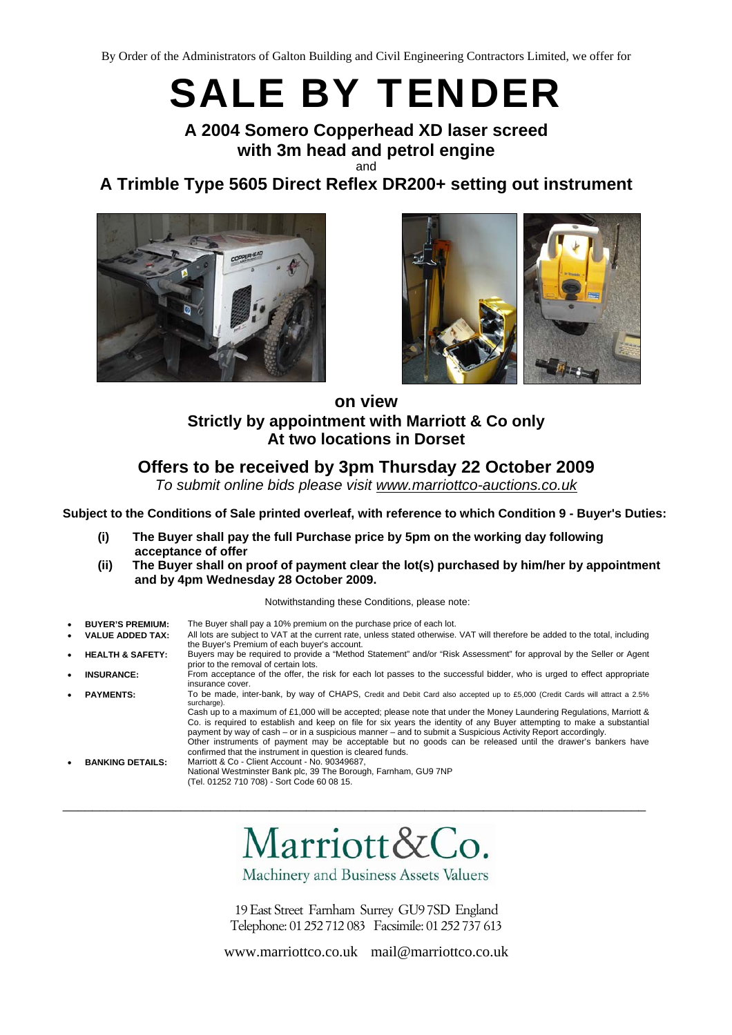# SALE BY TENDER

# **A 2004 Somero Copperhead XD laser screed with 3m head and petrol engine**  and

**A Trimble Type 5605 Direct Reflex DR200+ setting out instrument** 





# **on view Strictly by appointment with Marriott & Co only At two locations in Dorset**

# **Offers to be received by 3pm Thursday 22 October 2009**

*To submit online bids please visit www.marriottco-auctions.co.uk*

**Subject to the Conditions of Sale printed overleaf, with reference to which Condition 9 - Buyer's Duties:** 

- **(i) The Buyer shall pay the full Purchase price by 5pm on the working day following acceptance of offer**
- **(ii) The Buyer shall on proof of payment clear the lot(s) purchased by him/her by appointment and by 4pm Wednesday 28 October 2009.**

Notwithstanding these Conditions, please note:

- **BUYER'S PREMIUM:** The Buyer shall pay a 10% premium on the purchase price of each lot.
- **VALUE ADDED TAX:** All lots are subject to VAT at the current rate, unless stated otherwise. VAT will therefore be added to the total, including the Buyer's Premium of each buyer's account.
- **HEALTH & SAFETY:** Buyers may be required to provide a "Method Statement" and/or "Risk Assessment" for approval by the Seller or Agent prior to the removal of certain lots.
- **INSURANCE:** From acceptance of the offer, the risk for each lot passes to the successful bidder, who is urged to effect appropriate insurance cover.
- **PAYMENTS:** To be made, inter-bank, by way of CHAPS, Credit and Debit Card also accepted up to £5,000 (Credit Cards will attract a 2.5% surcharge).

Cash up to a maximum of £1,000 will be accepted; please note that under the Money Laundering Regulations, Marriott & Co. is required to establish and keep on file for six years the identity of any Buyer attempting to make a substantial payment by way of cash – or in a suspicious manner – and to submit a Suspicious Activity Report accordingly. Other instruments of payment may be acceptable but no goods can be released until the drawer's bankers have confirmed that the instrument in question is cleared funds.

• **BANKING DETAILS:** Marriott & Co - Client Account - No. 90349687, National Westminster Bank plc, 39 The Borough, Farnham, GU9 7NP (Tel. 01252 710 708) - Sort Code 60 08 15.

Marriott&Co.

\_\_\_\_\_\_\_\_\_\_\_\_\_\_\_\_\_\_\_\_\_\_\_\_\_\_\_\_\_\_\_\_\_\_\_\_\_\_\_\_\_\_\_\_\_\_\_\_\_\_\_\_\_\_\_\_\_\_\_\_\_\_\_\_\_\_\_\_\_\_\_\_\_\_\_\_\_\_\_

Machinery and Business Assets Valuers

19 East Street Farnham Surrey GU9 7SD England Telephone: 01 252 712 083 Facsimile: 01 252 737 613

www.marriottco.co.uk mail@marriottco.co.uk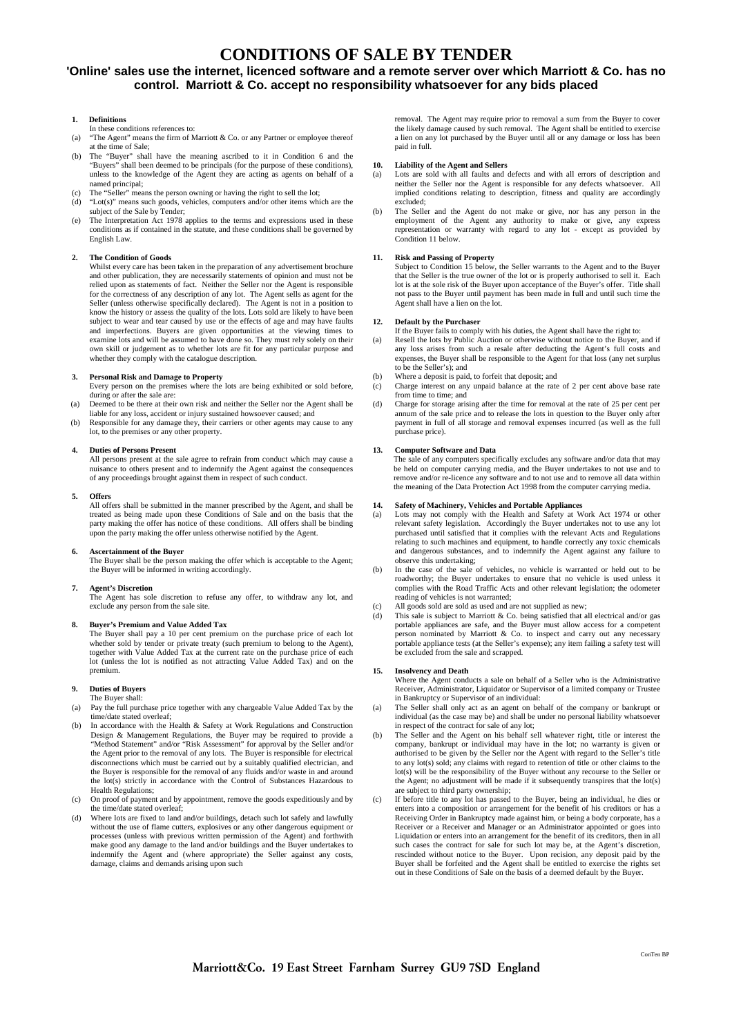# **CONDITIONS OF SALE BY TENDER**

### **'Online' sales use the internet, licenced software and a remote server over which Marriott & Co. has no control. Marriott & Co. accept no responsibility whatsoever for any bids placed**

#### **1. Definitions**

- In these conditions references to:
- (a) "The Agent" means the firm of Marriott & Co. or any Partner or employee thereof at the time of Sale;
- (b) The "Buyer" shall have the meaning ascribed to it in Condition 6 and the "Buyers" shall been deemed to be principals (for the purpose of these conditions), unless to the knowledge of the Agent they are acting as agents on behalf of a named principal;
- The "Seller" means the person owning or having the right to sell the lot; (d) "Lot(s)" means such goods, vehicles, computers and/or other items which are the subject of the Sale by Tender;
- The Interpretation Act 1978 applies to the terms and expressions used in these conditions as if contained in the statute, and these conditions shall be governed by English Law.

#### **2. The Condition of Goods**

Whilst every care has been taken in the preparation of any advertisement brochure and other publication, they are necessarily statements of opinion and must not be relied upon as statements of fact. Neither the Seller nor the Agent is responsible for the correctness of any description of any lot. The Agent sells as agent for the Seller (unless otherwise specifically declared). The Agent is not in a position to know the history or assess the quality of the lots. Lots sold are likely to have been subject to wear and tear caused by use or the effects of age and may have faults and imperfections. Buyers are given opportunities at the viewing times to examine lots and will be assumed to have done so. They must rely solely on their own skill or judgement as to whether lots are fit for any particular purpose and whether they comply with the catalogue description.

#### **3. Personal Risk and Damage to Property**

- Every person on the premises where the lots are being exhibited or sold before, during or after the sale are:
- (a) Deemed to be there at their own risk and neither the Seller nor the Agent shall be liable for any loss, accident or injury sustained howsoever caused; and
- (b) Responsible for any damage they, their carriers or other agents may cause to any lot, to the premises or any other property.

#### **4. Duties of Persons Present**

All persons present at the sale agree to refrain from conduct which may cause a ance to others present and to indemnify the Agent against the consequences of any proceedings brought against them in respect of such conduct.

#### **5. Offers**

All offers shall be submitted in the manner prescribed by the Agent, and shall be treated as being made upon these Conditions of Sale and on the basis that the party making the offer has notice of these conditions. All offers shall be binding upon the party making the offer unless otherwise notified by the Agent.

#### **6. Ascertainment of the Buyer**

The Buyer shall be the person making the offer which is acceptable to the Agent; the Buyer will be informed in writing accordingly.

#### **7. Agent's Discretion**

The Agent has sole discretion to refuse any offer, to withdraw any lot, and exclude any person from the sale site.

#### **8. Buyer's Premium and Value Added Tax**

The Buyer shall pay a 10 per cent premium on the purchase price of each lot whether sold by tender or private treaty (such premium to belong to the Agent), together with Value Added Tax at the current rate on the purchase price of each lot (unless the lot is notified as not attracting Value Added Tax) and on the premium.

#### **9. Duties of Buyers**

- The Buyer shall: (a) Pay the full purchase price together with any chargeable Value Added Tax by the time/date stated overleaf;
- (b) In accordance with the Health & Safety at Work Regulations and Construction Design & Management Regulations, the Buyer may be required to provide a "Method Statement" and/or "Risk Assessment" for approval by the Seller and/or the Agent prior to the removal of any lots. The Buyer is responsible for electrical disconnections which must be carried out by a suitably qualified electrician, and the Buyer is responsible for the removal of any fluids and/or waste in and around the lot(s) strictly in accordance with the Control of Substances Hazardous to Health Regulations;
- (c) On proof of payment and by appointment, remove the goods expeditiously and by the time/date stated overleaf;
- Where lots are fixed to land and/or buildings, detach such lot safely and lawfully without the use of flame cutters, explosives or any other dangerous equipment or processes (unless with previous written permission of the Agent) and forthwith make good any damage to the land and/or buildings and the Buyer undertakes to indemnify the Agent and (where appropriate) the Seller against any costs, damage, claims and demands arising upon such

removal. The Agent may require prior to removal a sum from the Buyer to cover the likely damage caused by such removal. The Agent shall be entitled to exercise a lien on any lot purchased by the Buyer until all or any damage or loss has been paid in full.

#### **10. Liability of the Agent and Sellers**

- (a) Lots are sold with all faults and defects and with all errors of description and neither the Seller nor the Agent is responsible for any defects whatsoever. All implied conditions relating to description, fitness and quality are accordingly excluded;
- (b) The Seller and the Agent do not make or give, nor has any person in the employment of the Agent any authority to make or give, any express representation or warranty with regard to any lot - except as provided by Condition 11 below.

## **11. Risk and Passing of Property**

Subject to Condition 15 below, the Seller warrants to the Agent and to the Buyer that the Seller is the true owner of the lot or is properly authorised to sell it. Each lot is at the sole risk of the Buyer upon acceptance of the Buyer's offer. Title shall not pass to the Buyer until payment has been made in full and until such time the Agent shall have a lien on the lot.

#### **12. Default by the Purchaser**

If the Buyer fails to comply with his duties, the Agent shall have the right to:

- (a) Resell the lots by Public Auction or otherwise without notice to the Buyer, and if any loss arises from such a resale after deducting the Agent's full costs and expenses, the Buyer shall be responsible to the Agent for that loss (any net surplus to be the Seller's); and
- (b) Where a deposit is paid, to forfeit that deposit; and
- (c) Charge interest on any unpaid balance at the rate of 2 per cent above base rate from time to time; and
- (d) Charge for storage arising after the time for removal at the rate of 25 per cent per annum of the sale price and to release the lots in question to the Buyer only after payment in full of all storage and removal expenses incurred (as well as the full purchase price).

## **13. Computer Software and Data**

The sale of any computers specifically excludes any software and/or data that may be held on computer carrying media, and the Buyer undertakes to not use and to remove and/or re-licence any software and to not use and to remove all data within the meaning of the Data Protection Act 1998 from the computer carrying media.

#### **14. Safety of Machinery, Vehicles and Portable Appliances**

- (a) Lots may not comply with the Health and Safety at Work Act 1974 or other relevant safety legislation. Accordingly the Buyer undertakes not to use any lot purchased until satisfied that it complies with the relevant Acts and Regulations relating to such machines and equipment, to handle correctly any toxic chemicals and dangerous substances, and to indemnify the Agent against any failure to observe this undertaking;
- (b) In the case of the sale of vehicles, no vehicle is warranted or held out to be roadworthy; the Buyer undertakes to ensure that no vehicle is used unless it complies with the Road Traffic Acts and other relevant legislation; the odometer reading of vehicles is not warranted;
- (c) All goods sold are sold as used and are not supplied as new;
- (d) This sale is subject to Marriott & Co. being satisfied that all electrical and/or gas portable appliances are safe, and the Buyer must allow access for a competent person nominated by Marriott & Co. to inspect and carry out any necessary portable appliance tests (at the Seller's expense); any item failing a safety test will be excluded from the sale and scrapped.

#### **15. Insolvency and Death**

Where the Agent conducts a sale on behalf of a Seller who is the Administrative Receiver, Administrator, Liquidator or Supervisor of a limited company or Trustee in Bankruptcy or Supervisor of an individual: (a) The Seller shall only act as an agent on behalf of the company or bankrupt or

- individual (as the case may be) and shall be under no personal liability whatsoever in respect of the contract for sale of any lot:
- (b) The Seller and the Agent on his behalf sell whatever right, title or interest the company, bankrupt or individual may have in the lot; no warranty is given or authorised to be given by the Seller nor the Agent with regard to the Seller's title to any lot(s) sold; any claims with regard to retention of title or other claims to the lot(s) will be the responsibility of the Buyer without any recourse to the Seller or the Agent; no adjustment will be made if it subsequently transpires that the lot(s) are subject to third party ownership;
- If before title to any lot has passed to the Buyer, being an individual, he dies or enters into a composition or arrangement for the benefit of his creditors or has a Receiving Order in Bankruptcy made against him, or being a body corporate, has a Receiver or a Receiver and Manager or an Administrator appointed or goes into Liquidation or enters into an arrangement for the benefit of its creditors, then in all such cases the contract for sale for such lot may be, at the Agent's discretion, rescinded without notice to the Buyer. Upon recision, any deposit paid by the Buyer shall be forfeited and the Agent shall be entitled to exercise the rights set out in these Conditions of Sale on the basis of a deemed default by the Buyer.